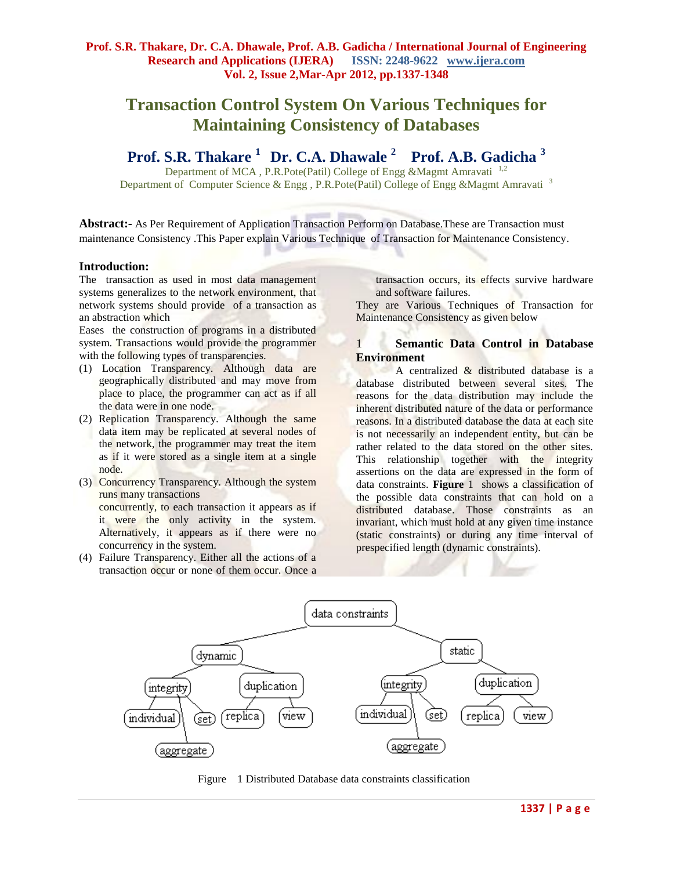# **Transaction Control System On Various Techniques for Maintaining Consistency of Databases**

# **Prof. S.R. Thakare <sup>1</sup>Dr. C.A. Dhawale <sup>2</sup> Prof. A.B. Gadicha <sup>3</sup>**

Department of MCA, P.R.Pote(Patil) College of Engg &Magmt Amravati<sup>1,2</sup> Department of Computer Science & Engg, P.R.Pote(Patil) College of Engg &Magmt Amravati<sup>3</sup>

**Abstract:-** As Per Requirement of Application Transaction Perform on Database.These are Transaction must maintenance Consistency .This Paper explain Various Technique of Transaction for Maintenance Consistency.

#### **Introduction:**

The transaction as used in most data management systems generalizes to the network environment, that network systems should provide of a transaction as an abstraction which

Eases the construction of programs in a distributed system. Transactions would provide the programmer with the following types of transparencies.

- (1) Location Transparency. Although data are geographically distributed and may move from place to place, the programmer can act as if all the data were in one node.
- (2) Replication Transparency. Although the same data item may be replicated at several nodes of the network, the programmer may treat the item as if it were stored as a single item at a single node.

(3) Concurrency Transparency. Although the system runs many transactions concurrently, to each transaction it appears as if it were the only activity in the system. Alternatively, it appears as if there were no concurrency in the system.

(4) Failure Transparency. Either all the actions of a transaction occur or none of them occur. Once a transaction occurs, its effects survive hardware and software failures.

They are Various Techniques of Transaction for Maintenance Consistency as given below

# 1 **Semantic Data Control in Database Environment**

A centralized & distributed database is a database distributed between several sites. The reasons for the data distribution may include the inherent distributed nature of the data or performance reasons. In a distributed database the data at each site is not necessarily an independent entity, but can be rather related to the data stored on the other sites. This relationship together with the integrity assertions on the data are expressed in the form of data constraints. **Figure** 1 shows a classification of the possible data constraints that can hold on a distributed database. Those constraints as an invariant, which must hold at any given time instance (static constraints) or during any time interval of prespecified length (dynamic constraints).



Figure 1 Distributed Database data constraints classification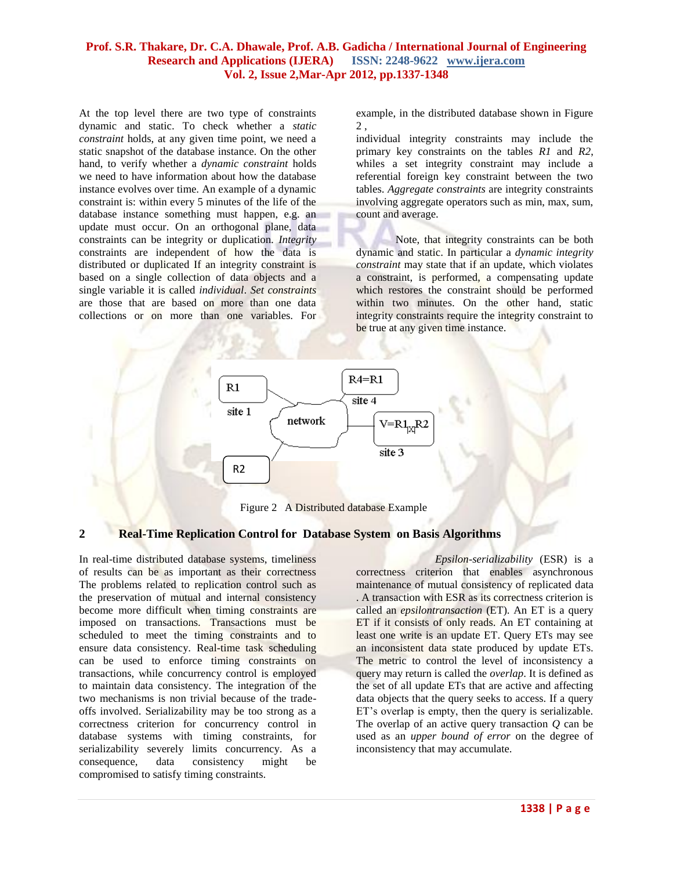At the top level there are two type of constraints dynamic and static. To check whether a *static constraint* holds, at any given time point, we need a static snapshot of the database instance. On the other hand, to verify whether a *dynamic constraint* holds we need to have information about how the database instance evolves over time. An example of a dynamic constraint is: within every 5 minutes of the life of the database instance something must happen, e.g. an update must occur. On an orthogonal plane, data constraints can be integrity or duplication. *Integrity*  constraints are independent of how the data is distributed or duplicated If an integrity constraint is based on a single collection of data objects and a single variable it is called *individual*. *Set constraints*  are those that are based on more than one data collections or on more than one variables. For

example, in the distributed database shown in Figure 2 ,

individual integrity constraints may include the primary key constraints on the tables *R1* and *R2*, whiles a set integrity constraint may include a referential foreign key constraint between the two tables. *Aggregate constraints* are integrity constraints involving aggregate operators such as min, max, sum, count and average.

Note, that integrity constraints can be both dynamic and static. In particular a *dynamic integrity constraint* may state that if an update, which violates a constraint, is performed, a compensating update which restores the constraint should be performed within two minutes. On the other hand, static integrity constraints require the integrity constraint to be true at any given time instance.



Figure 2 A Distributed database Example

# **2 Real-Time Replication Control for Database System on Basis Algorithms**

In real-time distributed database systems, timeliness of results can be as important as their correctness The problems related to replication control such as the preservation of mutual and internal consistency become more difficult when timing constraints are imposed on transactions. Transactions must be scheduled to meet the timing constraints and to ensure data consistency. Real-time task scheduling can be used to enforce timing constraints on transactions, while concurrency control is employed to maintain data consistency. The integration of the two mechanisms is non trivial because of the tradeoffs involved. Serializability may be too strong as a correctness criterion for concurrency control in database systems with timing constraints, for serializability severely limits concurrency. As a consequence, data consistency might be consequence, data consistency might be compromised to satisfy timing constraints.

*Epsilon-serializability* (ESR) is a correctness criterion that enables asynchronous maintenance of mutual consistency of replicated data . A transaction with ESR as its correctness criterion is called an *epsilontransaction* (ET). An ET is a query ET if it consists of only reads. An ET containing at least one write is an update ET. Query ETs may see an inconsistent data state produced by update ETs. The metric to control the level of inconsistency a query may return is called the *overlap*. It is defined as the set of all update ETs that are active and affecting data objects that the query seeks to access. If a query ET's overlap is empty, then the query is serializable. The overlap of an active query transaction *Q* can be used as an *upper bound of error* on the degree of inconsistency that may accumulate.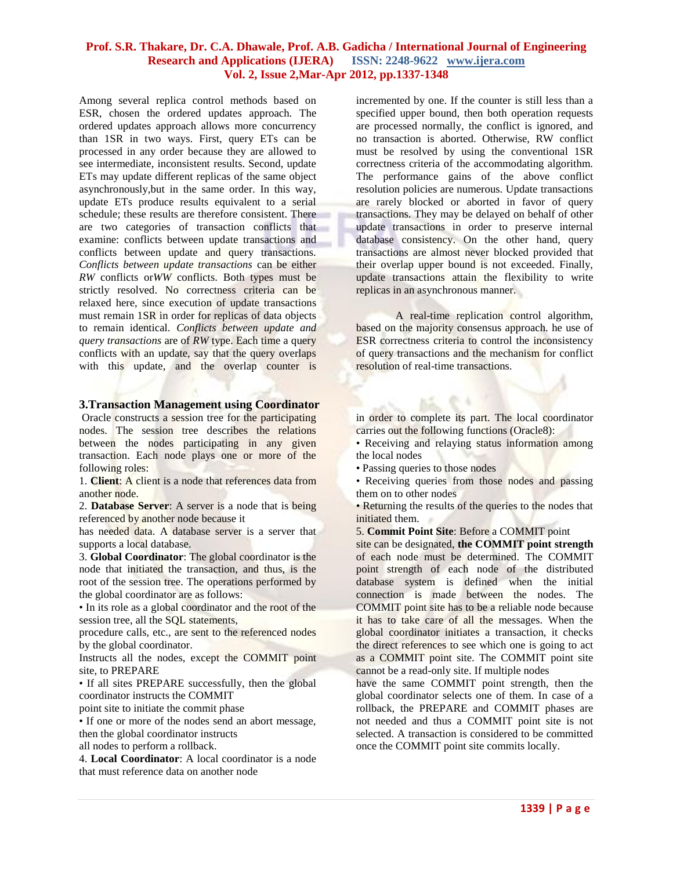Among several replica control methods based on ESR, chosen the ordered updates approach. The ordered updates approach allows more concurrency than 1SR in two ways. First, query ETs can be processed in any order because they are allowed to see intermediate, inconsistent results. Second, update ETs may update different replicas of the same object asynchronously,but in the same order. In this way, update ETs produce results equivalent to a serial schedule; these results are therefore consistent. There are two categories of transaction conflicts that examine: conflicts between update transactions and conflicts between update and query transactions. *Conflicts between update transactions* can be either *RW* conflicts or*WW* conflicts. Both types must be strictly resolved. No correctness criteria can be relaxed here, since execution of update transactions must remain 1SR in order for replicas of data objects to remain identical. *Conflicts between update and query transactions* are of *RW* type. Each time a query conflicts with an update, say that the query overlaps with this update, and the overlap counter is

# **3.Transaction Management using Coordinator**

Oracle constructs a session tree for the participating nodes. The session tree describes the relations between the nodes participating in any given transaction. Each node plays one or more of the following roles:

1. **Client**: A client is a node that references data from another node.

2. **Database Server**: A server is a node that is being referenced by another node because it

has needed data. A database server is a server that supports a local database.

3. **Global Coordinator**: The global coordinator is the node that initiated the transaction, and thus, is the root of the session tree. The operations performed by the global coordinator are as follows:

• In its role as a global coordinator and the root of the session tree, all the SQL statements,

procedure calls, etc., are sent to the referenced nodes by the global coordinator.

Instructs all the nodes, except the COMMIT point site, to PREPARE

• If all sites PREPARE successfully, then the global coordinator instructs the COMMIT

point site to initiate the commit phase

• If one or more of the nodes send an abort message, then the global coordinator instructs

all nodes to perform a rollback.

4. **Local Coordinator**: A local coordinator is a node that must reference data on another node

incremented by one. If the counter is still less than a specified upper bound, then both operation requests are processed normally, the conflict is ignored, and no transaction is aborted. Otherwise, RW conflict must be resolved by using the conventional 1SR correctness criteria of the accommodating algorithm. The performance gains of the above conflict resolution policies are numerous. Update transactions are rarely blocked or aborted in favor of query transactions. They may be delayed on behalf of other update transactions in order to preserve internal database consistency. On the other hand, query transactions are almost never blocked provided that their overlap upper bound is not exceeded. Finally, update transactions attain the flexibility to write replicas in an asynchronous manner.

A real-time replication control algorithm, based on the majority consensus approach. he use of ESR correctness criteria to control the inconsistency of query transactions and the mechanism for conflict resolution of real-time transactions.

in order to complete its part. The local coordinator carries out the following functions (Oracle8):

• Receiving and relaying status information among the local nodes

• Passing queries to those nodes

• Receiving queries from those nodes and passing them on to other nodes

• Returning the results of the queries to the nodes that initiated them.

5. **Commit Point Site**: Before a COMMIT point

site can be designated, **the COMMIT point strength**  of each node must be determined. The COMMIT point strength of each node of the distributed database system is defined when the initial connection is made between the nodes. The COMMIT point site has to be a reliable node because it has to take care of all the messages. When the global coordinator initiates a transaction, it checks the direct references to see which one is going to act as a COMMIT point site. The COMMIT point site cannot be a read-only site. If multiple nodes

have the same COMMIT point strength, then the global coordinator selects one of them. In case of a rollback, the PREPARE and COMMIT phases are not needed and thus a COMMIT point site is not selected. A transaction is considered to be committed once the COMMIT point site commits locally.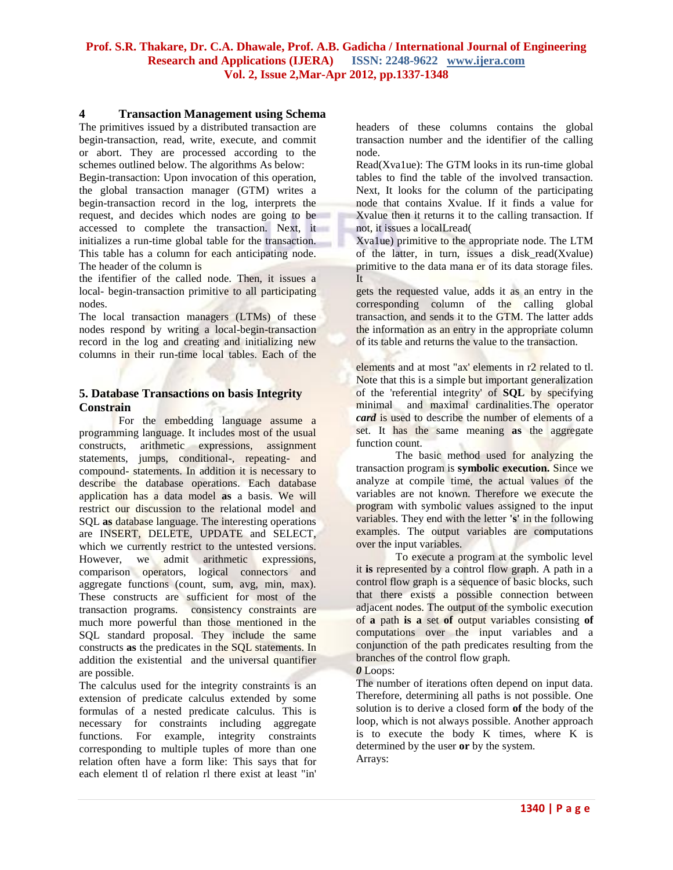# **4 Transaction Management using Schema**

The primitives issued by a distributed transaction are begin-transaction, read, write, execute, and commit or abort. They are processed according to the schemes outlined below. The algorithms As below:

Begin-transaction: Upon invocation of this operation, the global transaction manager (GTM) writes a begin-transaction record in the log, interprets the request, and decides which nodes are going to be accessed to complete the transaction. Next, it initializes a run-time global table for the transaction. This table has a column for each anticipating node. The header of the column is

the ifentifier of the called node. Then, it issues a local- begin-transaction primitive to all participating nodes.

The local transaction managers (LTMs) of these nodes respond by writing a local-begin-transaction record in the log and creating and initializing new columns in their run-time local tables. Each of the

# **5. Database Transactions on basis Integrity Constrain**

For the embedding language assume a programming language. It includes most of the usual constructs, arithmetic expressions, assignment statements, jumps, conditional-, repeating- and compound- statements. In addition it is necessary to describe the database operations. Each database application has a data model **as** a basis. We will restrict our discussion to the relational model and SQL **as** database language. The interesting operations are INSERT, DELETE, UPDATE and SELECT, which we currently restrict to the untested versions. However, we admit arithmetic expressions, comparison operators, logical connectors and aggregate functions (count, sum, avg, min, max). These constructs are sufficient for most of the transaction programs. consistency constraints are much more powerful than those mentioned in the SQL standard proposal. They include the same constructs **as** the predicates in the SQL statements. In addition the existential and the universal quantifier are possible.

The calculus used for the integrity constraints is an extension of predicate calculus extended by some formulas of a nested predicate calculus. This is necessary for constraints including aggregate functions. For example, integrity constraints corresponding to multiple tuples of more than one relation often have a form like: This says that for each element tl of relation rl there exist at least "in'

headers of these columns contains the global transaction number and the identifier of the calling node.

Read(Xva1ue): The GTM looks in its run-time global tables to find the table of the involved transaction. Next, It looks for the column of the participating node that contains Xvalue. If it finds a value for Xvalue then it returns it to the calling transaction. If not, it issues a localLread(

Xva1ue) primitive to the appropriate node. The LTM of the latter, in turn, issues a disk\_read(Xvalue) primitive to the data mana er of its data storage files. It

gets the requested value, adds it as an entry in the corresponding column of the calling global transaction, and sends it to the GTM. The latter adds the information as an entry in the appropriate column of its table and returns the value to the transaction.

elements and at most "ax' elements in r2 related to tl. Note that this is a simple but important generalization of the 'referential integrity' of **SQL** by specifying minimal and maximal cardinalities.The operator *card* is used to describe the number of elements of a set. It has the same meaning **as** the aggregate function count.

The basic method used for analyzing the transaction program is **symbolic execution.** Since we analyze at compile time, the actual values of the variables are not known. Therefore we execute the program with symbolic values assigned to the input variables. They end with the letter **'s'** in the following examples. The output variables are computations over the input variables.

To execute a program at the symbolic level it **is** represented by a control flow graph. A path in a control flow graph is a sequence of basic blocks, such that there exists a possible connection between adjacent nodes. The output of the symbolic execution of **a** path **is a** set **of** output variables consisting **of**  computations over the input variables and a conjunction of the path predicates resulting from the branches of the control flow graph.

*0* Loops:

The number of iterations often depend on input data. Therefore, determining all paths is not possible. One solution is to derive a closed form **of** the body of the loop, which is not always possible. Another approach is to execute the body K times, where K is determined by the user **or** by the system. Arrays: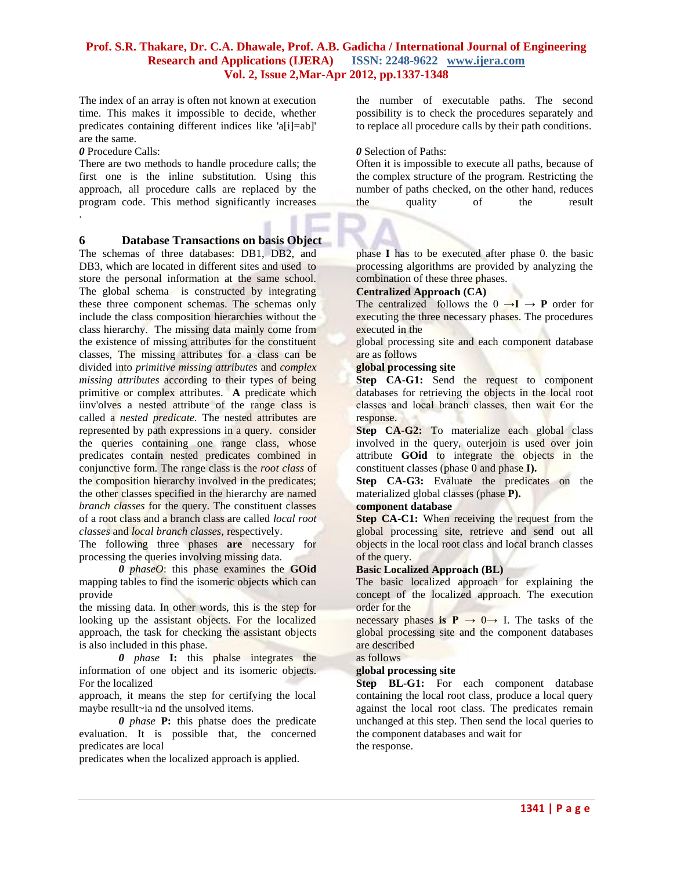The index of an array is often not known at execution time. This makes it impossible to decide, whether predicates containing different indices like 'a[i]=ab]' are the same.

#### *0* Procedure Calls:

There are two methods to handle procedure calls; the first one is the inline substitution. Using this approach, all procedure calls are replaced by the program code. This method significantly increases .

**6 Database Transactions on basis Object**  The schemas of three databases: DB1, DB2, and DB3, which are located in different sites and used to store the personal information at the same school. The global schema is constructed by integrating these three component schemas. The schemas only include the class composition hierarchies without the class hierarchy. The missing data mainly come from the existence of missing attributes for the constituent classes, The missing attributes for a class can be divided into *primitive missing attributes* and *complex missing attributes* according to their types of being primitive or complex attributes. **A** predicate which iinv'olves a nested attribute of the range class is called a *nested predicate.* The nested attributes are represented by path expressions in a query. consider the queries containing one range class, whose predicates contain nested predicates combined in conjunctive form. The range class is the *root class* of the composition hierarchy involved in the predicates; the other classes specified in the hierarchy are named *branch classes* for the query. The constituent classes of a root class and a branch class are called *local root classes* and *local branch classes,* respectively.

The following three phases **are** necessary for processing the queries involving missing data.

*0 phaseO*: this phase examines the **GOid**  mapping tables to find the isomeric objects which can provide

the missing data. In other words, this is the step for looking up the assistant objects. For the localized approach, the task for checking the assistant objects is also included in this phase.

*0 phase* **I:** this phalse integrates the information of one object and its isomeric objects. For the localized

approach, it means the step for certifying the local maybe resullt~ia nd the unsolved items.

*0 phase* **P:** this phatse does the predicate evaluation. It is possible that, the concerned predicates are local

predicates when the localized approach is applied.

the number of executable paths. The second possibility is to check the procedures separately and to replace all procedure calls by their path conditions.

## *0* Selection of Paths:

Often it is impossible to execute all paths, because of the complex structure of the program. Restricting the number of paths checked, on the other hand, reduces the quality of the result

phase **I** has to be executed after phase 0. the basic processing algorithms are provided by analyzing the combination of these three phases.

## **Centralized Approach (CA)**

The centralized follows the  $0 \rightarrow I \rightarrow P$  order for executing the three necessary phases. The procedures executed in the

global processing site and each component database are as follows

# **global processing site**

**Step CA-G1:** Send the request to component databases for retrieving the objects in the local root classes and local branch classes, then wait €or the response.

**Step CA-G2:** To materialize each global class involved in the query, outerjoin is used over join attribute **GOid** to integrate the objects in the constituent classes (phase 0 and phase **I).**

**Step CA-G3:** Evaluate the predicates on the materialized global classes (phase **P).**

# **component database**

**Step CA-C1:** When receiving the request from the global processing site, retrieve and send out all objects in the local root class and local branch classes of the query.

# **Basic Localized Approach (BL)**

The basic localized approach for explaining the concept of the localized approach. The execution order for the

necessary phases **is P**  $\rightarrow$  0 $\rightarrow$  I. The tasks of the global processing site and the component databases are described

as follows

# **global processing site**

**Step BL-G1:** For each component database containing the local root class, produce a local query against the local root class. The predicates remain unchanged at this step. Then send the local queries to the component databases and wait for the response.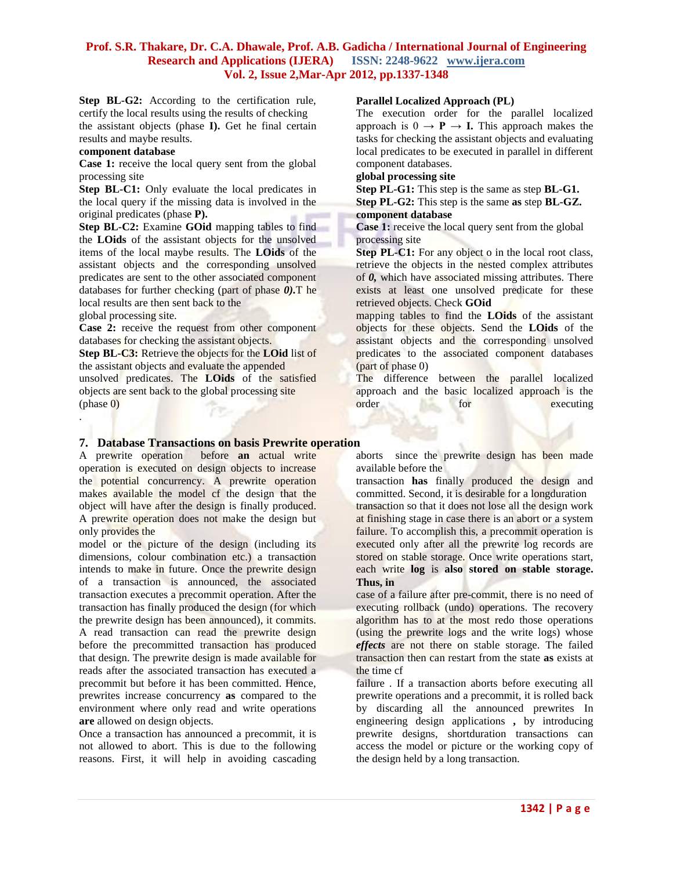**Step BL-G2:** According to the certification rule, certify the local results using the results of checking the assistant objects (phase **I).** Get he final certain results and maybe results.

## **component database**

**Case 1:** receive the local query sent from the global processing site

**Step BL-C1:** Only evaluate the local predicates in the local query if the missing data is involved in the original predicates (phase **P).**

**Step BL-C2:** Examine **GOid** mapping tables to find the **LOids** of the assistant objects for the unsolved items of the local maybe results. The **LOids** of the assistant objects and the corresponding unsolved predicates are sent to the other associated component databases for further checking (part of phase *0).*T he local results are then sent back to the

global processing site.

.

**Case 2:** receive the request from other component databases for checking the assistant objects.

**Step BL-C3:** Retrieve the objects for the **LOid** list of the assistant objects and evaluate the appended unsolved predicates. The **LOids** of the satisfied objects are sent back to the global processing site (phase 0)

# **7. Database Transactions on basis Prewrite operation**

A prewrite operation before **an** actual write operation is executed on design objects to increase the potential concurrency. A prewrite operation makes available the model cf the design that the object will have after the design is finally produced. A prewrite operation does not make the design but only provides the

model or the picture of the design (including its dimensions, colour combination etc.) a transaction intends to make in future. Once the prewrite design of a transaction is announced, the associated transaction executes a precommit operation. After the transaction has finally produced the design (for which the prewrite design has been announced), it commits. A read transaction can read the prewrite design before the precommitted transaction has produced that design. The prewrite design is made available for reads after the associated transaction has executed a precommit but before it has been committed. Hence, prewrites increase concurrency **as** compared to the environment where only read and write operations **are** allowed on design objects.

Once a transaction has announced a precommit, it is not allowed to abort. This is due to the following reasons. First, it will help in avoiding cascading

#### **Parallel Localized Approach (PL)**

The execution order for the parallel localized approach is  $0 \rightarrow P \rightarrow I$ . This approach makes the tasks for checking the assistant objects and evaluating local predicates to be executed in parallel in different component databases.

# **global processing site**

**Step PL-G1:** This step is the same as step **BL-G1. Step PL-G2:** This step is the same **as** step **BL-GZ. component database**

**Case 1:** receive the local query sent from the global processing site

**Step PL-C1:** For any object o in the local root class, retrieve the objects in the nested complex attributes of *0,* which have associated missing attributes. There exists at least one unsolved predicate for these retrieved objects. Check **GOid**

mapping tables to find the **LOids** of the assistant objects for these objects. Send the **LOids** of the assistant objects and the corresponding unsolved predicates to the associated component databases (part of phase 0)

The difference between the parallel localized approach and the basic localized approach is the order for executing

aborts since the prewrite design has been made available before the

transaction **has** finally produced the design and committed. Second, it is desirable for a longduration transaction so that it does not lose all the design work at finishing stage in case there is an abort or a system failure. To accomplish this, a precommit operation is executed only after all the prewrite log records are stored on stable storage. Once write operations start, each write **log** is **also stored on stable storage. Thus, in**

case of a failure after pre-commit, there is no need of executing rollback (undo) operations. The recovery algorithm has to at the most redo those operations (using the prewrite logs and the write logs) whose *effects* are not there on stable storage. The failed transaction then can restart from the state **as** exists at the time cf

failure . If a transaction aborts before executing all prewrite operations and a precommit, it is rolled back by discarding all the announced prewrites In engineering design applications **,** by introducing prewrite designs, shortduration transactions can access the model or picture or the working copy of the design held by a long transaction.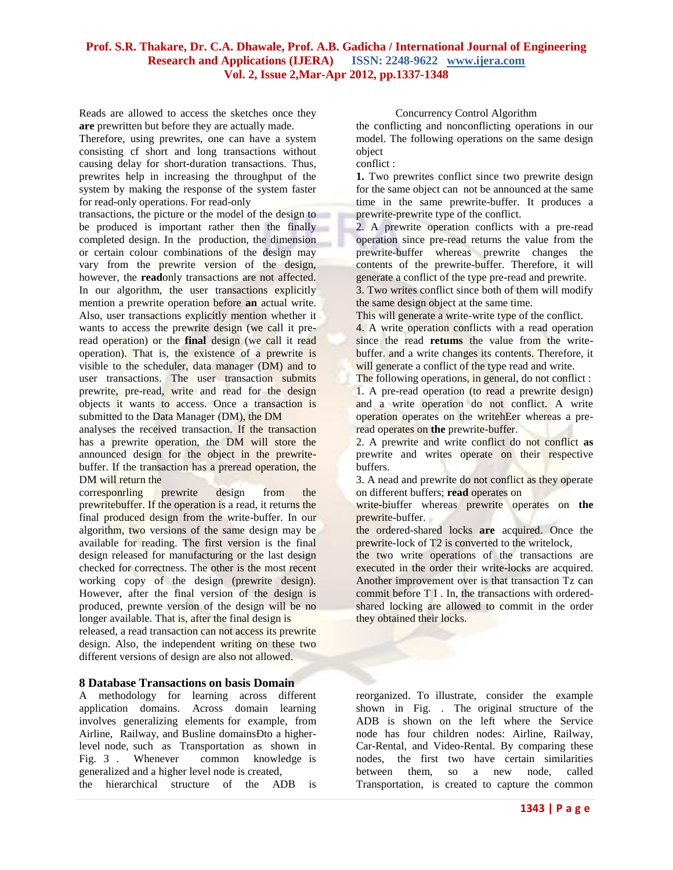Reads are allowed to access the sketches once they **are** prewritten but before they are actually made.

Therefore, using prewrites, one can have a system consisting cf short and long transactions without causing delay for short-duration transactions. Thus, prewrites help in increasing the throughput of the system by making the response of the system faster for read-only operations. For read-only

transactions, the picture or the model of the design to be produced is important rather then the finally completed design. In the production, the dimension or certain colour combinations of the design may vary from the prewrite version of the design, however, the **read**only transactions are not affected. In our algorithm, the user transactions explicitly mention a prewrite operation before **an** actual write. Also, user transactions explicitly mention whether it wants to access the prewrite design (we call it preread operation) or the **final** design (we call it read operation). That is, the existence of a prewrite is visible to the scheduler, data manager (DM) and to user transactions. The user transaction submits prewrite, pre-read, write and read for the design objects it wants to access. Once a transaction is submitted to the Data Manager (DM), the DM

analyses the received transaction. If the transaction has a prewrite operation, the DM will store the announced design for the object in the prewritebuffer. If the transaction has a preread operation, the DM will return the

corresponrling prewrite design from the prewritebuffer. If the operation is a read, it returns the final produced design from the write-buffer. In our algorithm, two versions of the same design may be available for reading. The first version is the final design released for manufacturing or the last design checked for correctness. The other is the most recent working copy of the design (prewrite design). However, after the final version of the design is produced, prewnte version of the design will be no longer available. That is, after the final design is

released, a read transaction can not access its prewrite design. Also, the independent writing on these two different versions of design are also not allowed.

# **8 Database Transactions on basis Domain**

A methodology for learning across different application domains. Across domain learning involves generalizing elements for example, from Airline, Railway, and Busline domainsÐto a higherlevel node, such as Transportation as shown in Fig. 3 . Whenever common knowledge is generalized and a higher level node is created, the hierarchical structure of the ADB is

Concurrency Control Algorithm

the conflicting and nonconflicting operations in our model. The following operations on the same design object

conflict :

**1.** Two prewrites conflict since two prewrite design for the same object can not be announced at the same time in the same prewrite-buffer. It produces a prewrite-prewrite type of the conflict.

2. A prewrite operation conflicts with a pre-read operation since pre-read returns the value from the prewrite-buffer whereas prewrite changes the contents of the prewrite-buffer. Therefore, it will generate a conflict of the type pre-read and prewrite.

3. Two writes conflict since both of them will modify the same design object at the same time.

This will generate a write-write type of the conflict.

4. A write operation conflicts with a read operation since the read **retums** the value from the writebuffer. and a write changes its contents. Therefore, it will generate a conflict of the type read and write.

The following operations, in general, do not conflict : 1. A pre-read operation (to read a prewrite design) and a write operation do not conflict. A write operation operates on the writehEer whereas a preread operates on **the** prewrite-buffer.

2. A prewrite and write conflict do not conflict **as**  prewrite and writes operate on their respective buffers.

3. A nead and prewrite do not conflict as they operate on different buffers; **read** operates on

write-biuffer whereas prewrite operates on **the**  prewrite-buffer.

the ordered-shared locks **are** acquired. Once the prewrite-lock of T2 is converted to the writelock,

the two write operations of the transactions are executed in the order their write-locks are acquired. Another improvement over is that transaction Tz can commit before T I . In, the transactions with orderedshared locking are allowed to commit in the order they obtained their locks.

reorganized. To illustrate, consider the example shown in Fig. . The original structure of the ADB is shown on the left where the Service node has four children nodes: Airline, Railway, Car-Rental, and Video-Rental. By comparing these nodes, the first two have certain similarities between them, so a new node, called Transportation, is created to capture the common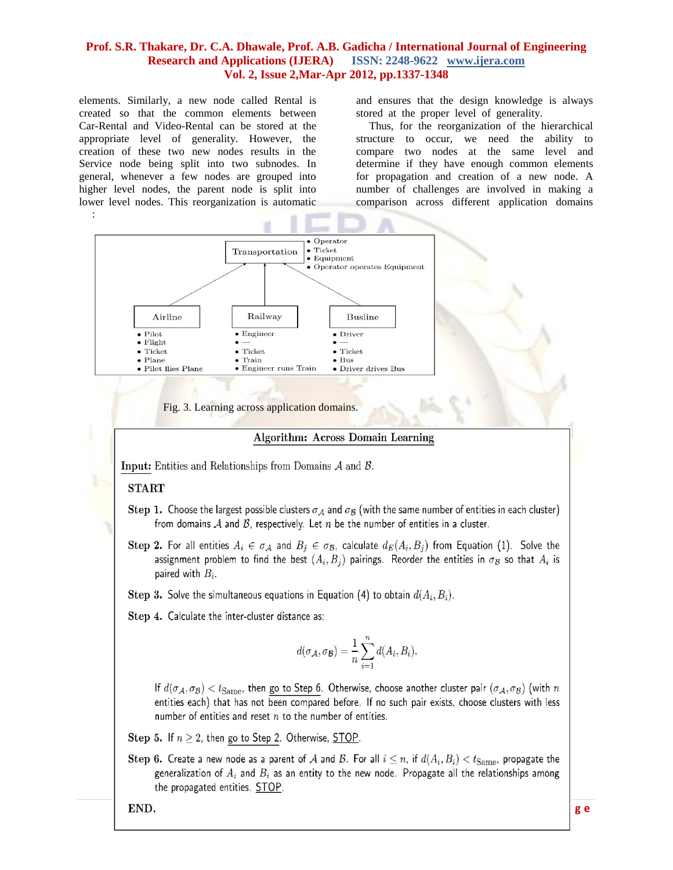elements. Similarly, a new node called Rental is created so that the common elements between Car-Rental and Video-Rental can be stored at the appropriate level of generality. However, the creation of these two new nodes results in the Service node being split into two subnodes. In general, whenever a few nodes are grouped into higher level nodes, the parent node is split into lower level nodes. This reorganization is automatic

and ensures that the design knowledge is always stored at the proper level of generality.

Thus, for the reorganization of the hierarchical structure to occur, we need the ability to compare two nodes at the same level and determine if they have enough common elements for propagation and creation of a new node. A number of challenges are involved in making a comparison across different application domains



Fig. 3. Learning across application domains.

#### **Algorithm: Across Domain Learning**

**Input:** Entities and Relationships from Domains  $A$  and  $B$ .

# **START**

:

- Step 1. Choose the largest possible clusters  $\sigma_A$  and  $\sigma_B$  (with the same number of entities in each cluster) from domains  $A$  and  $B$ , respectively. Let  $n$  be the number of entities in a cluster.
- Step 2. For all entities  $A_i \in \sigma_A$  and  $B_j \in \sigma_B$ , calculate  $d_E(A_i, B_j)$  from Equation (1). Solve the assignment problem to find the best  $(A_i, B_i)$  pairings. Reorder the entities in  $\sigma_B$  so that  $A_i$  is paired with  $B_i$ .
- **Step 3.** Solve the simultaneous equations in Equation (4) to obtain  $d(A_i, B_i)$ .
- Step 4. Calculate the inter-cluster distance as:

$$
d(\sigma_{\mathcal{A}}, \sigma_{\mathcal{B}}) = \frac{1}{n} \sum_{i=1}^{n} d(A_i, B_i).
$$

If  $d(\sigma_A, \sigma_B) < t_{\text{Same}}$ , then go to Step 6. Otherwise, choose another cluster pair  $(\sigma_A, \sigma_B)$  (with n entities each) that has not been compared before. If no such pair exists, choose clusters with less number of entities and reset  $n$  to the number of entities.

- Step 5. If  $n \geq 2$ , then go to Step 2. Otherwise, STOP.
- Step 6. Create a new node as a parent of A and B. For all  $i \leq n$ , if  $d(A_i, B_i) < t_{\text{Same}}$ , propagate the generalization of  $A_i$  and  $B_i$  as an entity to the new node. Propagate all the relationships among the propagated entities. STOP.

END.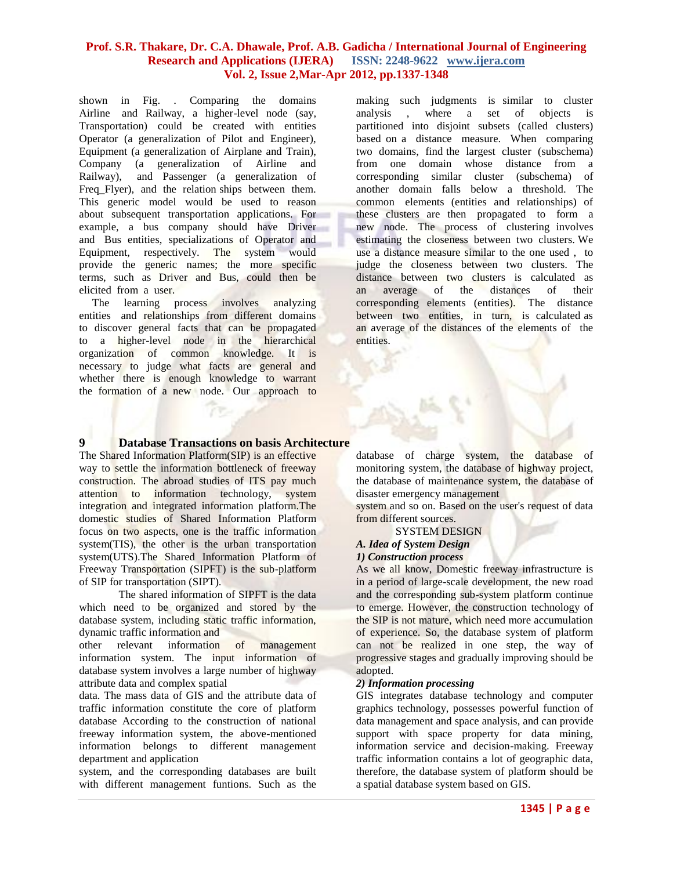shown in Fig. . Comparing the domains Airline and Railway, a higher-level node (say, Transportation) could be created with entities Operator (a generalization of Pilot and Engineer), Equipment (a generalization of Airplane and Train), Company (a generalization of Airline and Railway), and Passenger (a generalization of Freq Flyer), and the relation ships between them. This generic model would be used to reason about subsequent transportation applications. For example, a bus company should have Driver and Bus entities, specializations of Operator and Equipment, respectively. The system would provide the generic names; the more specific terms, such as Driver and Bus, could then be elicited from a user.

The learning process involves analyzing entities and relationships from different domains to discover general facts that can be propagated to a higher-level node in the hierarchical organization of common knowledge. It is necessary to judge what facts are general and whether there is enough knowledge to warrant the formation of a new node. Our approach to

making such judgments is similar to cluster analysis , where a set of objects is partitioned into disjoint subsets (called clusters) based on a distance measure. When comparing two domains, find the largest cluster (subschema) from one domain whose distance from a corresponding similar cluster (subschema) of another domain falls below a threshold. The common elements (entities and relationships) of these clusters are then propagated to form a new node. The process of clustering involves estimating the closeness between two clusters. We use a distance measure similar to the one used , to judge the closeness between two clusters. The distance between two clusters is calculated as an average of the distances of their corresponding elements (entities). The distance between two entities, in turn, is calculated as an average of the distances of the elements of the entities.

# **9 Database Transactions on basis Architecture**

The Shared Information Platform(SIP) is an effective way to settle the information bottleneck of freeway construction. The abroad studies of ITS pay much attention to information technology, system integration and integrated information platform.The domestic studies of Shared Information Platform focus on two aspects, one is the traffic information system(TIS), the other is the urban transportation system(UTS).The Shared Information Platform of Freeway Transportation (SIPFT) is the sub-platform of SIP for transportation (SIPT).

The shared information of SIPFT is the data which need to be organized and stored by the database system, including static traffic information, dynamic traffic information and

other relevant information of management information system. The input information of database system involves a large number of highway attribute data and complex spatial

data. The mass data of GIS and the attribute data of traffic information constitute the core of platform database According to the construction of national freeway information system, the above-mentioned information belongs to different management department and application

system, and the corresponding databases are built with different management funtions. Such as the database of charge system, the database of monitoring system, the database of highway project, the database of maintenance system, the database of disaster emergency management

system and so on. Based on the user's request of data from different sources.

SYSTEM DESIGN

# *A. Idea of System Design*

# *1) Construction process*

As we all know, Domestic freeway infrastructure is in a period of large-scale development, the new road and the corresponding sub-system platform continue to emerge. However, the construction technology of the SIP is not mature, which need more accumulation of experience. So, the database system of platform can not be realized in one step, the way of progressive stages and gradually improving should be adopted.

# *2) Information processing*

GIS integrates database technology and computer graphics technology, possesses powerful function of data management and space analysis, and can provide support with space property for data mining, information service and decision-making. Freeway traffic information contains a lot of geographic data, therefore, the database system of platform should be a spatial database system based on GIS.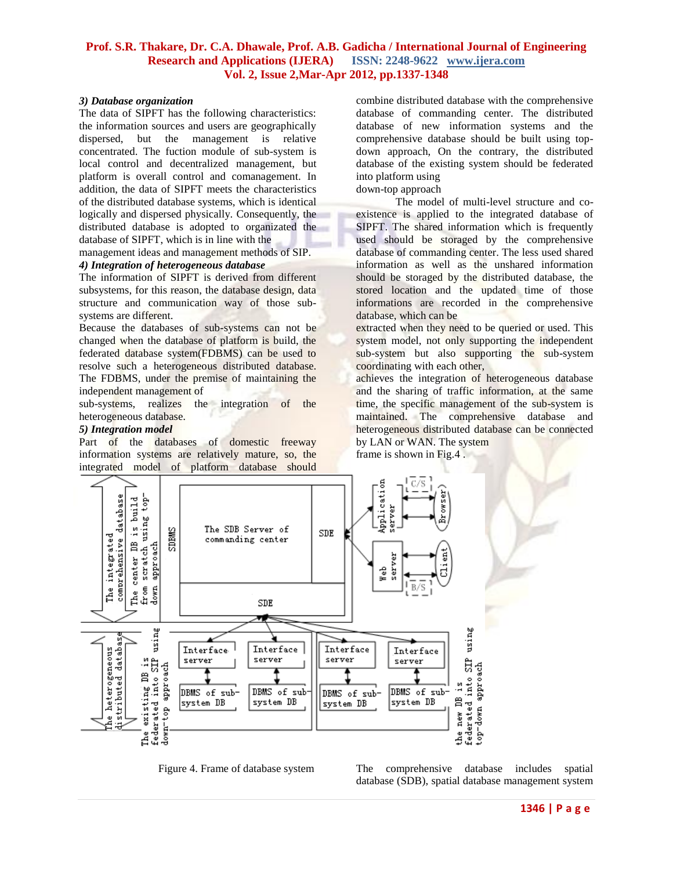#### *3) Database organization*

The data of SIPFT has the following characteristics: the information sources and users are geographically dispersed, but the management is relative concentrated. The fuction module of sub-system is local control and decentralized management, but platform is overall control and comanagement. In addition, the data of SIPFT meets the characteristics of the distributed database systems, which is identical logically and dispersed physically. Consequently, the distributed database is adopted to organizated the database of SIPFT, which is in line with the

#### management ideas and management methods of SIP. *4) Integration of heterogeneous database*

The information of SIPFT is derived from different subsystems, for this reason, the database design, data structure and communication way of those subsystems are different.

Because the databases of sub-systems can not be changed when the database of platform is build, the federated database system(FDBMS) can be used to resolve such a heterogeneous distributed database. The FDBMS, under the premise of maintaining the independent management of

sub-systems, realizes the integration of the heterogeneous database.

#### *5) Integration model*

Part of the databases of domestic freeway information systems are relatively mature, so, the integrated model of platform database should combine distributed database with the comprehensive database of commanding center. The distributed database of new information systems and the comprehensive database should be built using topdown approach, On the contrary, the distributed database of the existing system should be federated into platform using

down-top approach

The model of multi-level structure and coexistence is applied to the integrated database of SIPFT. The shared information which is frequently used should be storaged by the comprehensive database of commanding center. The less used shared information as well as the unshared information should be storaged by the distributed database, the stored location and the updated time of those informations are recorded in the comprehensive database, which can be

extracted when they need to be queried or used. This system model, not only supporting the independent sub-system but also supporting the sub-system coordinating with each other,

achieves the integration of heterogeneous database and the sharing of traffic information, at the same time, the specific management of the sub-system is maintained. The comprehensive database and heterogeneous distributed database can be connected by LAN or WAN. The system frame is shown in Fig.4 .



Figure 4. Frame of database system The comprehensive database includes spatial database (SDB), spatial database management system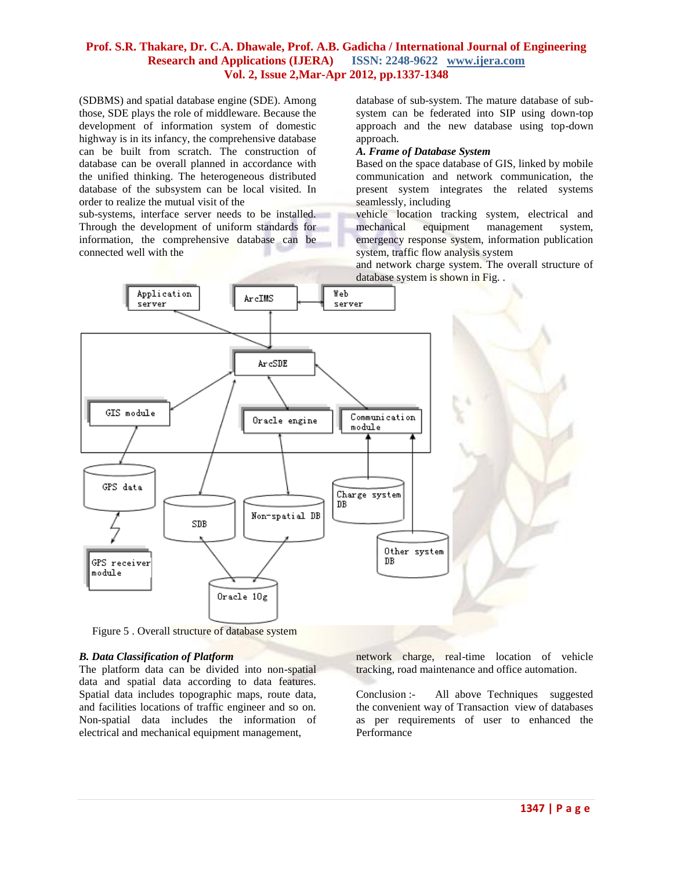(SDBMS) and spatial database engine (SDE). Among those, SDE plays the role of middleware. Because the development of information system of domestic highway is in its infancy, the comprehensive database can be built from scratch. The construction of database can be overall planned in accordance with the unified thinking. The heterogeneous distributed database of the subsystem can be local visited. In order to realize the mutual visit of the

sub-systems, interface server needs to be installed. Through the development of uniform standards for information, the comprehensive database can be connected well with the

database of sub-system. The mature database of subsystem can be federated into SIP using down-top approach and the new database using top-down approach.

## *A. Frame of Database System*

Based on the space database of GIS, linked by mobile communication and network communication, the present system integrates the related systems seamlessly, including

vehicle location tracking system, electrical and mechanical equipment management system, emergency response system, information publication system, traffic flow analysis system

and network charge system. The overall structure of database system is shown in Fig. .



Figure 5 . Overall structure of database system

#### *B. Data Classification of Platform*

The platform data can be divided into non-spatial data and spatial data according to data features. Spatial data includes topographic maps, route data, and facilities locations of traffic engineer and so on. Non-spatial data includes the information of electrical and mechanical equipment management,

network charge, real-time location of vehicle tracking, road maintenance and office automation.

Conclusion :- All above Techniques suggested the convenient way of Transaction view of databases as per requirements of user to enhanced the Performance